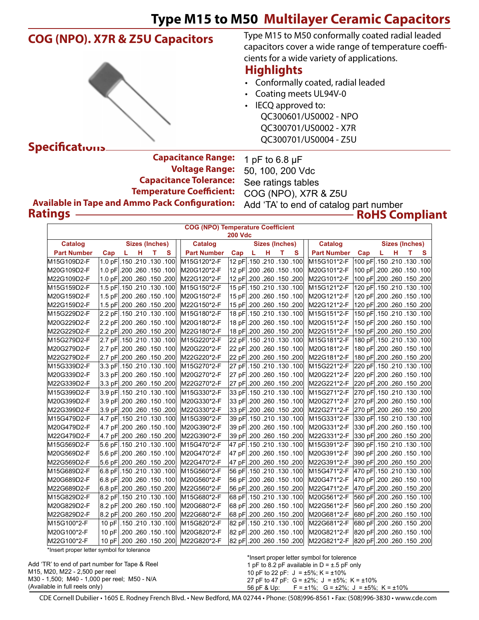## **COG (NPO). X7R & Z5U Capacitors**



Type M15 to M50 conformally coated radial leaded capacitors cover a wide range of temperature coefficients for a wide variety of applications.

## **Highlights**

- • Conformally coated, radial leaded
- • Coating meets UL94V-0
- IECQ approved to: QC300601/US0002 - NPO QC300701/US0002 - X7R

| <b>Capacitance Range:</b>                             | 1 pF to 6.8 $\mu$ F                    |
|-------------------------------------------------------|----------------------------------------|
| <b>Voltage Range:</b>                                 | 50, 100, 200 Vdc                       |
| <b>Capacitance Tolerance:</b>                         | See ratings tables                     |
| <b>Temperature Coefficient:</b>                       | COG (NPO), X7R & Z5U                   |
| <b>Available in Tape and Ammo Pack Configuration:</b> | Add 'TA' to end of catalog part number |
| <b>Ratings</b>                                        | <b>RoHS Co</b>                         |

1 pF to 6.8 µF 50, 100, 200 Vdc See ratings tables COG (NPO), X7R & Z5U **RoHS Compliant**

| <b>COG (NPO) Temperature Coefficient</b><br><b>200 Vdc</b><br><b>Sizes (Inches)</b><br><b>Sizes (Inches)</b><br><b>Sizes (Inches)</b> |                            |                  |   |                    |                                    |    |   |    |   |                    |                                 |    |   |    |   |
|---------------------------------------------------------------------------------------------------------------------------------------|----------------------------|------------------|---|--------------------|------------------------------------|----|---|----|---|--------------------|---------------------------------|----|---|----|---|
| <b>Catalog</b>                                                                                                                        |                            |                  |   | <b>Catalog</b>     |                                    |    |   |    |   | <b>Catalog</b>     |                                 |    |   |    |   |
| <b>Part Number</b>                                                                                                                    | Cap<br>L.                  | н<br>т           | S | <b>Part Number</b> | Cap                                | L. | H | T. | S | <b>Part Number</b> | Cap                             | L. | н | T. | s |
| M15G109D2-F                                                                                                                           | 1.0 pF .150 .210 .130 .100 |                  |   | M15G120*2-F        | 100. 130 130. 210 150 160          |    |   |    |   | M15G101*2-F        | 100 pF .150 .210 .130 .100      |    |   |    |   |
| M20G109D2-F                                                                                                                           | 1.0 pF .200 .260 .150 .100 |                  |   | M20G120*2-F        | 100. 150 150 260. 100              |    |   |    |   | M20G101*2-F        | 100 pF .200 .260 .150 .100      |    |   |    |   |
| M22G109D2-F                                                                                                                           | 1.0 pF .200 .260 .150 .200 |                  |   | M22G120*2-F        | 200. 150. 260 260. 150 12          |    |   |    |   | M22G101*2-F        | 100 pF .200 .260 .150 .200      |    |   |    |   |
| M15G159D2-F                                                                                                                           | 1.5 pF .150 .210 .130 .100 |                  |   | M15G150*2-F        | 15 pF .150 .210 .130 .100          |    |   |    |   | M15G121*2-F        | 100 0F .150 .210 .130 .100      |    |   |    |   |
| M20G159D2-F                                                                                                                           | 1.5 pF 200 .260 .150 .100  |                  |   | M20G150*2-F        | 150.100 150.000 150.100            |    |   |    |   | M20G121*2-F        | 100, 150 150. 200 PF .200. 260  |    |   |    |   |
| M22G159D2-F                                                                                                                           | 1.5 pF 200 .260 .150 .200  |                  |   | M22G150*2-F        | 15 pF .200 .260 .150 .200          |    |   |    |   | M22G121*2-F        | 120 pF .200 .260 .150 .200      |    |   |    |   |
| M15G229D2-F                                                                                                                           | 2.2 pF 150 .210 .130 .100  |                  |   | M15G180*2-F        | 18 pF 150 210 130 100              |    |   |    |   | M15G151*2-F        | 100 0F 150 210 130 100          |    |   |    |   |
| M20G229D2-F                                                                                                                           | 2.2 pF .200 .260 .150 .100 |                  |   | M20G180*2-F        | 100. 150 150 260 PF .200           |    |   |    |   | M20G151*2-F        | 100, 150. 260 260. 150 150 150  |    |   |    |   |
| M22G229D2-F                                                                                                                           | 200 0.150 150. 260 PF 200  |                  |   | M22G180*2-F        | 18 pF .200 .260 .150 .200          |    |   |    |   | M22G151*2-F        | 150 pF .200 .260 .150 .200      |    |   |    |   |
| M15G279D2-F                                                                                                                           | 2.7 pF .150 .210 .130 .100 |                  |   | M15G220*2-F        | 22 pF .150 .210 .130 .100          |    |   |    |   | M15G181*2-F        | 100 0F 150 .210 .130 .100       |    |   |    |   |
| M20G279D2-F                                                                                                                           | 2.7 pF .200 .260 .150 .100 |                  |   | M20G220*2-F        | 22 pF 200 260 150 100              |    |   |    |   | M20G181*2-F        | 100, 150, 260, 260 PF  180      |    |   |    |   |
| M22G279D2-F                                                                                                                           | 200 0. 150 150 200 PM      |                  |   | M22G220*2-F        | 22 pF .200 .260 .150 .200          |    |   |    |   | M22G181*2-F        | 180 pF .200 .260 .150 .200      |    |   |    |   |
| M15G339D2-F                                                                                                                           | 3.3 pF .150 .210 .130 .100 |                  |   | M15G270*2-F        | 100. 130 130 210 PF .150           |    |   |    |   | M15G221*2-F        | 100. 130. 210 210. 220 PF       |    |   |    |   |
| M20G339D2-F                                                                                                                           | 3.3 pF 200 260 150 100     |                  |   | M20G270*2-F        | 27 pF 200 260 150 100              |    |   |    |   | M20G221*2-F        | 220 pF .200 .260 .150 .100∣     |    |   |    |   |
| M22G339D2-F                                                                                                                           | 3.3 pF .200 .260 .150 .200 |                  |   | M22G270*2-F        | 27 pF .200 .260 .150 .200          |    |   |    |   | M22G221*2-F        | 200 pF .200 .260 .150 .200      |    |   |    |   |
| M15G399D2-F                                                                                                                           | 3.9 pF .150 .210 .130 .100 |                  |   | M15G330*2-F        | 33 pF .150 .210 .130 .100          |    |   |    |   | M15G271*2-F        | 270 pF 150 210 130 100          |    |   |    |   |
| M20G399D2-F                                                                                                                           | 3.9 pF .200 .260 .150 .100 |                  |   | M20G330*2-F        | 33 pF .200 .260 .150 .100          |    |   |    |   | M20G271*2-F        | 100. 150. 260. 260 PF .200. 260 |    |   |    |   |
| M22G399D2-F                                                                                                                           | 3.9 pF .200 .260 .150 .200 |                  |   | M22G330*2-F        | 33 pF .200 .260 .150 .200          |    |   |    |   | M22G271*2-F        | 200 0F 200 260 150 200          |    |   |    |   |
| M15G479D2-F                                                                                                                           | 4.7 pF .150 .210 .130 .100 |                  |   | M15G390*2-F        | 39 pF .150 .210 .130 .100          |    |   |    |   | M15G331*2-F        | 330 pF .150 .210 .130 .100      |    |   |    |   |
| M20G479D2-F                                                                                                                           | 4.7 pF .200 .260 .150 .100 |                  |   | M20G390*2-F        | 39 pF .200 .260 .150 .100          |    |   |    |   | M20G331*2-F        | 330 pF .200 .260 .150 .100      |    |   |    |   |
| M22G479D2-F                                                                                                                           | 200 0.150 150 14.7 pF 200  |                  |   | M22G390*2-F        | 39 pF 200 260 150 200              |    |   |    |   | M22G331*2-F        | 330 pF .200 .260 .150 .200      |    |   |    |   |
| M15G569D2-F                                                                                                                           | 5.6 pF  150 .210 .130 .100 |                  |   | M15G470*2-F        | 100. 130 130 100. 47 PF            |    |   |    |   | M15G391*2-F        | 390 pF 150 .210 .130 .100       |    |   |    |   |
| M20G569D2-F                                                                                                                           | 5.6 pF .200 .260 .150 .100 |                  |   | M20G470*2-F        | 100. 150. 260. 260  47 pF          |    |   |    |   | M20G391*2-F        | 390 pF .200 .260 .150 .100      |    |   |    |   |
| M22G569D2-F                                                                                                                           | 5.6 pF .200 .260 .150 .200 |                  |   | M22G470*2-F        | 200. 150 150 200. 47 PF 200        |    |   |    |   | M22G391*2-F        | 390 pF .200 .260 .150 .200      |    |   |    |   |
| M15G689D2-F                                                                                                                           | 100. 130. 210 210. 6.8 PF  |                  |   | M15G560*2-F        | 56 pF 150 .210 .130 .100           |    |   |    |   | M15G471*2-F        | 100. 130. 210 A70 pF  150. 210  |    |   |    |   |
| M20G689D2-F                                                                                                                           | 0.100 150 150 260 PF 300   |                  |   | M20G560*2-F        | 56 pF .200 .260 .150 .100          |    |   |    |   | M20G471*2-F        | 100. 150. 260. 260 PF .200. 260 |    |   |    |   |
| M22G689D2-F                                                                                                                           | 6.8 pF .200 .260 .150 .200 |                  |   | M22G560*2-F        | 56 pF .200 .260 .150 .200          |    |   |    |   | M22G471*2-F        | 470 pF .200 .260 .150 .200      |    |   |    |   |
| M15G829D2-F                                                                                                                           | 8.2 pF .150 .210 .130 .100 |                  |   | M15G680*2-F        | 100. 130. 210. 68 PF 5150. 100     |    |   |    |   | M20G561*2-F        | 560 pF .200 .260 .150 .100      |    |   |    |   |
| M20G829D2-F                                                                                                                           | 8.2 pF .200 .260 .150 .100 |                  |   | M20G680*2-F        | 100. 150. 260. 260 PF .200         |    |   |    |   | M22G561*2-F        | 560 pF .200 .260 .150 .200      |    |   |    |   |
| M22G829D2-F                                                                                                                           | 8.2 pF .200 .260 .150 .200 |                  |   | M22G680*2-F        | 200. 150. 260 260 PF .200          |    |   |    |   | M20G681*2-F        | 680 pF .200 .260 .150 .100      |    |   |    |   |
| M15G100*2-F                                                                                                                           | 10 pF .150 .210 .130 .100  |                  |   | M15G820*2-F        | 210 .130 .130 .100 82 pF .150 .100 |    |   |    |   | M22G681*2-F        | 680 pF .200 .260 .150 .200      |    |   |    |   |
| M20G100*2-F                                                                                                                           | 10pF                       | .200.260.150.100 |   | M20G820*2-F        | 82 pF  200 .260 .150 .100          |    |   |    |   | M20G821*2-F        | 820 pF 200 260 150 100          |    |   |    |   |
| M22G100*2-F                                                                                                                           | 10 pF .200 .260 .150 .200  |                  |   | M22G820*2-F        | 82 pF 200 .260 .150 .200           |    |   |    |   | M22G821*2-F        | 820 pF .200 .260 .150 .200      |    |   |    |   |

\*Insert proper letter symbol for tolerance

Add 'TR' to end of part number for Tape & Reel M15, M20, M22 - 2,500 per reel M30 - 1,500; M40 - 1,000 per reel; M50 - N/A (Available in full reels only)

\*Insert proper letter symbol for tolerence 1 pF to 8.2 pF available in  $D = \pm .5$  pF only 10 pF to 22 pF:  $J = \pm 5\%$ ; K =  $\pm 10\%$ 27 pF to 47 pF:  $G = \pm 2\%$ ;  $J = \pm 5\%$ ;  $K = \pm 10\%$ 

56 pF & Up: F =  $\pm$ 1%; G =  $\pm$ 2%; J =  $\pm$ 5%; K =  $\pm$ 10%

CDE Cornell Dubilier • 1605 E. Rodney French Blvd. • New Bedford, MA 02744 • Phone: (508)996-8561 • Fax: (508)996-3830 • www.cde.com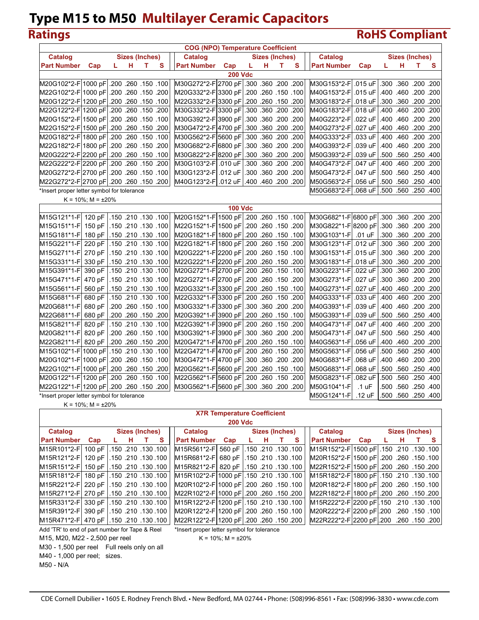# **Ratings RoHS Compliant**

|                                              |                             |    |   |                       |   | <b>COG (NPO) Temperature Coefficient</b>      |                |                     |   |                |   |                                             |          |      |           |                       |   |
|----------------------------------------------|-----------------------------|----|---|-----------------------|---|-----------------------------------------------|----------------|---------------------|---|----------------|---|---------------------------------------------|----------|------|-----------|-----------------------|---|
| <b>Catalog</b>                               |                             |    |   | <b>Sizes (Inches)</b> |   | <b>Catalog</b>                                |                |                     |   | Sizes (Inches) |   | <b>Catalog</b>                              |          |      |           | <b>Sizes (Inches)</b> |   |
| <b>Part Number</b>                           | Cap                         | L. | н | т                     | s | <b>Part Number</b>                            | Cap            | L                   | н | т              | s | <b>Part Number</b>                          | Cap      | L    | н         | т                     | s |
|                                              |                             |    |   |                       |   |                                               | <b>200 Vdc</b> |                     |   |                |   |                                             |          |      |           |                       |   |
| 100. 150. 260. 260. M20G102*2-F 1000 pF .200 |                             |    |   |                       |   | 200. 200. 360. 360. M30G272*2-F 2700 pF .300  |                |                     |   |                |   | M30G153*2-F .015 uF                         |          | .300 |           | .360 .200 .200        |   |
| 200. 150. 260. 260. M22G102*2-F 1000 pF .200 |                             |    |   |                       |   | 100. 150. 260. 260. M20G332*2-F 3300 pF .200. |                |                     |   |                |   | M40G153*2-FI                                | .015 uF  |      |           | .400 .460 .200 .200   |   |
| 100. 150. 260. 260. M20G122*2-F 1200 pF .200 |                             |    |   |                       |   | 200. 150. 260 Ar22G332*2-F 3300 pF 200.       |                |                     |   |                |   | M30G183*2-F                                 | .018 uF  |      |           | .300 .360 .200 .200   |   |
| M22G122*2-F 1200 pF                          |                             |    |   | .200 .260 .150 .200   |   | 200. 200. 360. 300. M30G332*2-F 3300 pF 300.  |                |                     |   |                |   | M40G183*2-F                                 | .018 uF  |      | .400 .460 | .200.200              |   |
| 100. 150. 260. 260. M20G152*2-F 1500 pF .200 |                             |    |   |                       |   | 200. 200. 360. 360. M30G392*2-F 3900 pF 300.  |                |                     |   |                |   | M40G223*2-F                                 | .022 uF  |      |           | .400 .460 .200 .200   |   |
| 200. 150. 260. M22G152*2-F 1500 pF .200.     |                             |    |   |                       |   | 200. 200. 360. M30G472*2-F 4700 pF  300. 360. |                |                     |   |                |   | M40G273*2-F                                 | .027 uF  |      |           | .400 .460 .200 .200   |   |
| 100. 150. 260. 260. M20G182*2-F 1800 pF .200 |                             |    |   |                       |   | 200. 200. 360. M30G562*2-F 5600 pF 300.       |                |                     |   |                |   | M40G333*2-FI                                | .033 uF  |      |           | .400, 200. 460. 400.  |   |
| 200. 150. 260. 260. M22G182*2-F 1800 pF .200 |                             |    |   |                       |   | 200. 200. M30G682*2-F 6800 pF 300.360.        |                |                     |   |                |   | M40G393*2-F                                 | .039 uF  |      |           | .400 .460 .200 .200   |   |
| 100. 150. 260. 260. M20G222*2-F 2200 pF .200 |                             |    |   |                       |   | 200. 200. 360. M30G822*2-F 8200 pF 300. 360.  |                |                     |   |                |   | M50G393*2-F                                 | .039 uF  |      |           | .500 .560 .250 .400   |   |
| 200. 150. 260. 260. M22G222*2-F 2200 pF .200 |                             |    |   |                       |   | M30G103*2-F 010 uF                            |                | .300, 200, 360, 300 |   |                |   | M40G473*2-F                                 | .047 uF  |      |           | .400, 200. 460. 400.  |   |
| 100. 150. 260. 260. M20G272*2-F 2700 pF .200 |                             |    |   |                       |   | M30G123*2-F  .012 uF                          |                | .300 .360 .200 .200 |   |                |   | M50G473*2-F                                 | .047 uF  |      |           | .500 .560 .250 .400   |   |
| 200. 150. 260. 260. M22G272*2-F 2700 pF .200 |                             |    |   |                       |   | M40G123*2-F .012 uF                           |                | .400 .460 .200 .200 |   |                |   | M50G563*2-F                                 | .056 uF  |      |           | .500 .560 .250 .400   |   |
| *Insert proper letter symbol for tolerance   |                             |    |   |                       |   |                                               |                |                     |   |                |   | M50G683*2-FI                                | .068 uF  |      |           | .500 .560 .250 .400   |   |
|                                              | $K = 10\%$ ; M = $\pm 20\%$ |    |   |                       |   |                                               |                |                     |   |                |   |                                             |          |      |           |                       |   |
|                                              |                             |    |   |                       |   |                                               | <b>100 Vdc</b> |                     |   |                |   |                                             |          |      |           |                       |   |
| M15G121*1-Fl                                 | 120 pF                      |    |   | .150 .210 .130 .100   |   | 100. 150. 260. 260. M20G152*1-F 1500 pF .200  |                |                     |   |                |   | 00. 200. 360. 360. M30G682*1-F 6800 pF 300. |          |      |           |                       |   |
| M15G151*1-F                                  | 150 pF                      |    |   | .150 .210 .130 .100   |   | 200. 150. 260. 260. M22G152*1-F 1500 pF       |                |                     |   |                |   | 200. 200. 360. M30G822*1-F 8200 pF   .300.  |          |      |           |                       |   |
| M15G181*1-FI                                 | 180 pF                      |    |   | .150 .210 .130 .100   |   | 100. 150. 260. 260. M20G182*1-F 1800 pF .200  |                |                     |   |                |   | M30G103*1-F                                 | .01 uF   |      |           | .300 .360 .200 .200   |   |
| M15G221*1-F 220 pF                           |                             |    |   | .150 .210 .130 .100   |   | 200. 150. 260. 260. M22G182*1-F 1800 pF .200  |                |                     |   |                |   | M30G123*1-F .012 uF                         |          |      |           | .300 .360 .200 .200   |   |
| M15G271*1-F 270 pF                           |                             |    |   | .150 .210 .130 .100   |   | 100. 150. 260. 260. M20G222*1-F 2200 pF .200  |                |                     |   |                |   | M30G153*1-F .015 uF                         |          |      |           | .300 .360 .200 .200   |   |
| M15G331*1-F                                  | 330 pF                      |    |   | .150 .210 .130 .100   |   | M22G222*1-F 2200 pF                           |                | .200 .260 .150 .200 |   |                |   | M30G183*1-F .018 uF                         |          |      | .300 .360 | .200.200              |   |
| M15G391*1-F                                  | 390 pF                      |    |   | .150 .210 .130 .100   |   | 100. 150. 260. 260. M20G272*1-F 2700 pF .     |                |                     |   |                |   | M30G223*1-F .022 uF                         |          | .300 | .360      | .200.200              |   |
| M15G471*1-F 470 pF                           |                             |    |   | .150 .210 .130 .100   |   | 200. 150. 260. 260. M22G272*1-F 2700 pF .     |                |                     |   |                |   | M30G273*1-F                                 | .027 uF  |      |           | .300 .360 .200 .200   |   |
| M15G561*1-F                                  | 560 pF                      |    |   | .150 .210 .130 .100   |   | 100. 150. 260. 260. M20G332*1-F3300 pF .200   |                |                     |   |                |   | M40G273*1-F                                 | .027 uF  |      |           | .400 .460 .200 .200   |   |
| M15G681*1-Fl                                 | 680 pF                      |    |   | .150 .210 .130 .100   |   | M22G332*1-F3300 pF                            |                | .200 .260 .150 .200 |   |                |   | M40G333*1-F                                 | .033 uF  |      |           | .400, 200. 460. 400.  |   |
| M20G681*1-FI                                 | 680 pF                      |    |   | .200 .260 .150 .100   |   | 200. 200. 360. M30G332*1-F 3300 pF .300. 360. |                |                     |   |                |   | M40G393*1-F                                 | .039 uF  |      |           | .400 .460 .200 .200   |   |
| M22G681*1-F 680 pF                           |                             |    |   | .200 .260 .150 .200   |   | 100. 150. 260. 260. M20G392*1-F 3900 pF .200  |                |                     |   |                |   | M50G393*1-F                                 | .039 uF  |      |           | .500 .560 .250 .400   |   |
| M15G821*1-F 820 pF                           |                             |    |   | .150 .210 .130 .100   |   | 200. 150. 260 260. M22G392*1-F 3900 pF   .200 |                |                     |   |                |   | M40G473*1-F                                 | .047 uF  |      |           | .400 .460 .200 .200   |   |
| M20G821*1-F 820 pF                           |                             |    |   | .200, 150, 260. 200.  |   | 00. 200. 360 .200. M30G392*1-F 3900 pF   .300 |                |                     |   |                |   | M50G473*1-F                                 | .047 uF  |      |           | .500 .560 .250 .400   |   |
| M22G821*1-F 820 pF                           |                             |    |   | .200 .260 .150 .200   |   | 100. 150. 260. 260. M20G472*1-F 4700 pF .200  |                |                     |   |                |   | M40G563*1-F                                 | .056 uF  | .400 |           | .460 .200 .200        |   |
| 100. 130. 210. 150. M15G102*1-F 1000 pF .150 |                             |    |   |                       |   | 200. 150. 260. 260. M22G472*1-F 4700 pF .200  |                |                     |   |                |   | M50G563*1-F                                 | .056 uF  |      |           | .500 .560 .250 .400   |   |
| 100. 150. 260. 260. M20G102*1-F 1000 pF .200 |                             |    |   |                       |   | 200. 200. 360. 360. M30G472*1-F 4700 pF .300  |                |                     |   |                |   | M40G683*1-F                                 | .068 uF  |      |           | .400 .460 .200 .200   |   |
| 200. 150. 260. 260. M22G102*1-F 1000 pF .200 |                             |    |   |                       |   | 100. 150. 260. 260. M20G562*1-F 5600 pF .200  |                |                     |   |                |   | M50G683*1-F                                 | .068 uF  |      |           | .500 .560 .250 .400   |   |
| 100. 150. 260. 260. M20G122*1-F 1200 pF .200 |                             |    |   |                       |   | 200. 150. 260. M22G562*1-F 5600 pF .200.      |                |                     |   |                |   | M50G823*1-F                                 | .082 uF  | .500 | .560      | .250 .400             |   |
| 200. 150. 260. 260. M22G122*1-F 1200 pF .200 |                             |    |   |                       |   | 200. 200. 360. M30G562*1-F 5600 pF 300.       |                |                     |   |                |   | M50G104*1-F                                 | .1 uF    |      |           | .500 .560 .250 .400   |   |
| *Insert proper letter symbol for tolerance   |                             |    |   |                       |   |                                               |                |                     |   |                |   | M50G124*1-F                                 | $.12$ uF |      |           | .500 .560 .250 .400   |   |

|  |  | K = 10%; M = $\pm$ 20% |  |
|--|--|------------------------|--|
|  |  |                        |  |

### **X7R Temperature Coefficient**

| m       |     |  |
|---------|-----|--|
| ×<br>۰. | . . |  |

| Catalog                                         |                             | Sizes (Inches) |    |          | Catalog                                                              |     |    | <b>Sizes (Inches)</b> |          | <b>Catalog Catalog</b>                              |     | Sizes (Inches) |     |
|-------------------------------------------------|-----------------------------|----------------|----|----------|----------------------------------------------------------------------|-----|----|-----------------------|----------|-----------------------------------------------------|-----|----------------|-----|
| <b>Part Number</b>                              | Cap                         | н              | T. | <b>S</b> | <b>Part Number</b>                                                   | Cap | н. |                       | <b>S</b> | <b>Part Number</b>                                  | Cap | н              | - S |
| M <sub>15R101</sub> *2-Fl                       | 100 pF 1.150 .210 .130 .100 |                |    |          | M15R561*2-F 560 pF   150 .210 .130 .100                              |     |    |                       |          | M15R152*2-F 1500 pF  150 .210 .130 .100             |     |                |     |
| M15R121*2-FI                                    | 120 pF 1.150 .210 .130 .100 |                |    |          | M15R681*2-F 680 pF .150 .210 .130 .100                               |     |    |                       |          | M20R152*2-F 1500 pF .200 .260 .150 .100             |     |                |     |
| M15R151*2-F                                     | 150 pF .150 .210 .130 .100  |                |    |          | M15R821*2-F 820 pF 1.150 210 130 100                                 |     |    |                       |          | M22R152*2-F 1500 pF .200 .260 .150 .200             |     |                |     |
| M15R181*2-FI                                    | 100, 130 130 210 150 160    |                |    |          | 100. 130.100. M15R102*2-F 1000 pF   150.210.                         |     |    |                       |          | M15R182*2-F 1800 pF  .150 .210 .130 .100            |     |                |     |
| 100. 130.100. 210. M15R221*2-FI 220 pF L150.    |                             |                |    |          | M20R102*2-F1000 pF1.200 .260 .150 .100                               |     |    |                       |          | M20R182*2-F 1800 pF .200 .260 .150 .100             |     |                |     |
| 100. 130. 210. M15R271*2-F   270 pF   150. 210. |                             |                |    |          | M22R102*2-F 1000 pF 200 .260 .150 .200                               |     |    |                       |          | M22R182*2-F 1800 pF .200 .260 .150 .200             |     |                |     |
| M15R331*2-F 330 pF 1.150 .210 .130 .100         |                             |                |    |          | M15R122*2-F 1200 pF  .150 .210 .130 .100                             |     |    |                       |          | 100. 130. 210. 1210 PH 150. 210 M15R222*2-F 2200 pF |     |                |     |
| 100. 130 150. 210 150. M15R391*2-F 390 pF L150. |                             |                |    |          | M20R122*2-F 1200 pF 200 .260 .150 .100                               |     |    |                       |          | 100. 150. 260. 260. M20R222*2-F 2200 pF .200        |     |                |     |
| M15R471*2-F 470 pF .150 .210 .130 .100          |                             |                |    |          | 200. 150. 200. 260. 200 PF   200. 200. M22R122*2-F   1200 pF   .200. |     |    |                       |          | M22R222*2-F 2200 pF .200 .260 .150 .200             |     |                |     |
| Add 'TR' to end of part number for Tape & Reel  |                             |                |    |          | *Insert proper letter symbol for tolerance                           |     |    |                       |          |                                                     |     |                |     |

M15, M20, M22 - 2,500 per reel  $K = 10\%; M = \pm 20\%$ 

M30 - 1,500 per reel Full reels only on all

M50 - N/A

M40 - 1,000 per reel; sizes.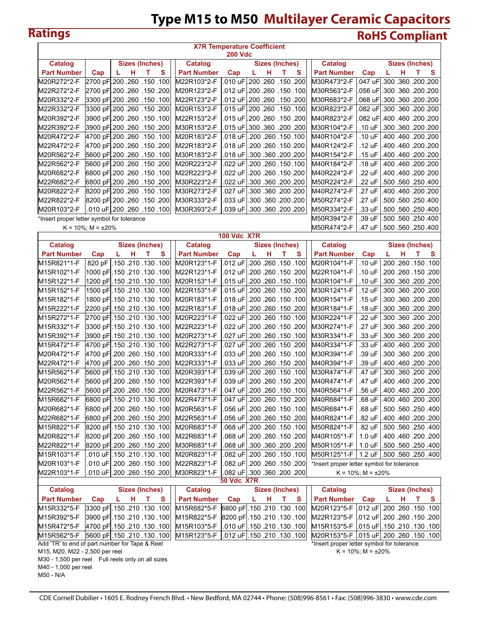# **Type M15 to M50 Multilayer Ceramic Capacitors Ratings RoHS Compliant**

|                                                   |                             |        |                                       |                            | <b>X7R Temperature Coefficient</b><br>200 Vdc |   |   |                                       |                                                             |                             |                                       |   |   |
|---------------------------------------------------|-----------------------------|--------|---------------------------------------|----------------------------|-----------------------------------------------|---|---|---------------------------------------|-------------------------------------------------------------|-----------------------------|---------------------------------------|---|---|
| <b>Catalog</b>                                    |                             |        | <b>Sizes (Inches)</b>                 | <b>Catalog</b>             |                                               |   |   | <b>Sizes (Inches)</b>                 | <b>Catalog</b>                                              |                             | <b>Sizes (Inches)</b>                 |   |   |
| <b>Part Number</b>                                | Cap                         | н<br>L | т<br>S                                | <b>Part Number</b>         | Cap                                           | L | н | S<br>т                                | <b>Part Number</b>                                          | Cap                         | L<br>н                                | т | s |
| M20R272*2-F                                       |                             |        | 2700 pF 200 .260 .150 .100            | M22R103*2-F                |                                               |   |   | .010 uF 200 .260 .150 .200            | M30R473*2-F                                                 |                             | .047 uF .300 .360 .200 .200           |   |   |
| M22R272*2-F                                       |                             |        | 200. 150. 260 260. 2700 pF 200        | M20R123*2-F                |                                               |   |   | .012 uF 200 .260 .150 .012            | M30R563*2-F                                                 |                             | .056 uF 300 .360 .200 .200            |   |   |
| M20R332*2-F                                       |                             |        | 100. 150. 260 260. 3300 pF 200        | M22R123*2-F                |                                               |   |   | .012 uF .200 .260 .150 .200           | M30R683*2-F                                                 |                             | .068 uF .300 .360 .200 .200           |   |   |
| M22R332*2-F                                       |                             |        | 3300 pF 200 .260 .150 .200            | M20R153*2-F                |                                               |   |   | .015 uF 200 .260 .150 .015            | M30R823*2-F                                                 |                             | .082 uF .300 .360 .200 .200           |   |   |
| M20R392*2-F                                       |                             |        | 100. 150. 260 260. 3900 pF 200.       | M22R153*2-F                |                                               |   |   | .015 uF .200 .260 .150 .200           | M40R823*2-F                                                 |                             | .082 uF .400 .460 .200 .200           |   |   |
| M22R392*2-F                                       |                             |        | 200. 150. 260 260 PF 200.             | M30R153*2-F                |                                               |   |   | .015 uF 300 .360 .200 .200            | M30R104*2-F                                                 | .10 uF                      | .300 .360 .200 .200                   |   |   |
| M20R472*2-F                                       |                             |        | 4700 pF 200 .260 .150 .100            | M20R183*2-F                | .018 uF                                       |   |   | .200.260.150.100                      | M40R104*2-F                                                 | .10 uF                      | .400, 200. 460. 400.                  |   |   |
| M22R472*2-F                                       |                             |        | 4700 pF 200 .260 .150 .200            | M22R183*2-F                |                                               |   |   | .018 uF .200 .260 .150 .200           | M40R124*2-F                                                 | .12 uF                      | .400, 200. 460. 400.                  |   |   |
| M20R562*2-F                                       |                             |        | 5600 pF 200 .260 .150 .100            | M30R183*2-F                | .018 uF                                       |   |   | .300.360.200.200                      | M40R154*2-F                                                 | .15 uF                      | .400 .460 .200 .200                   |   |   |
| M22R562*2-F                                       |                             |        | 200. 150. 260 260 5600 5600           | M20R223*2-F                | .022 uF                                       |   |   | .200.150.100                          | M40R184*2-F                                                 | .18 uF                      | .400 .460 .200 .200                   |   |   |
| M20R682*2-F                                       |                             |        | 100. 150. 260 260 6800 680            | M22R223*2-F                | .022 uF                                       |   |   | .200 .260 .150 .200                   | M40R224*2-F                                                 | .22 uF                      | .400 .460 .200 .200                   |   |   |
| M22R682*2-F                                       |                             |        | 200. 150. 260 260 6800 6800           | M30R223*2-F                | .022 uF                                       |   |   | .300.360.200.200                      | M50R224*2-F                                                 | .22 uF                      | .500 .560 .250 .400                   |   |   |
| M20R822*2-F                                       |                             |        | 8200 pF 200 .260 .150 .100            | M30R273*2-F                | .027 uF                                       |   |   | .300 .360 .200 .200                   | M40R274*2-F                                                 | .27 uF                      | .400 .460 .200 .200                   |   |   |
| M22R822*2-F                                       |                             |        | 8200 pF 200 .260 .150 .200            | M30R333*2-F                |                                               |   |   | .033 uF .300 .360 .200 .200           | M50R274*2-F                                                 | .27 uF                      | .500 .560 .250 .400                   |   |   |
| M20R103*2-F                                       |                             |        | .010 uF 200 .260 .150 .010            | M30R393*2-F                |                                               |   |   | .039 uF .300 .360 .200 .200           | M50R334*2-F                                                 | .33 uF                      | .500 .560 .250 .400                   |   |   |
| *Insert proper letter symbol for tolerance        |                             |        |                                       |                            |                                               |   |   |                                       | M50R394*2-F                                                 | .39 uF                      | .500 .560 .250 .400                   |   |   |
|                                                   | $K = 10\%$ ; M = $\pm 20\%$ |        |                                       |                            |                                               |   |   |                                       | M50R474*2-F                                                 |                             | .47 uF   500 .560 .250 .400           |   |   |
|                                                   |                             |        |                                       |                            | <b>100 Vdc X7R</b>                            |   |   |                                       |                                                             |                             |                                       |   |   |
| Catalog                                           |                             |        | Sizes (Inches)                        | <b>Catalog</b>             |                                               |   |   | <b>Sizes (Inches)</b>                 | Catalog                                                     |                             | <b>Sizes (Inches)</b>                 |   |   |
| <b>Part Number</b>                                | Cap                         | L<br>н | т<br>S                                | <b>Part Number</b>         | Cap                                           | L | н | S<br>т                                | <b>Part Number</b>                                          | Cap                         | L<br>н                                | т | s |
| M15R821*1-F                                       |                             |        | 820 pF .150 .210 .130 .100            | M20R123*1-F                | .012 uF                                       |   |   | .200 .260 .150 .100                   | M20R104*1-F                                                 | .10 uF                      | .200.051.00                           |   |   |
| M15R102*1-F                                       |                             |        | 1000 pF .150 .210 .130 .100           | M22R123*1-F                | .012 uF                                       |   |   | .200, 150, 260. 200                   | M22R104*1-F                                                 | .10 uF                      | .200, 150, 260. 200                   |   |   |
| M15R122*1-F                                       |                             |        | 100. 130. 210 PF .150. 210. 100       | M20R153*1-F                | .015 uF                                       |   |   | .200 .260 .150 .100                   | M30R104*1-F                                                 | .10 uF                      | .300 .360 .200 .200                   |   |   |
| M15R152*1-F                                       |                             |        | 1500 pF .150 .210 .130 .100           | M22R153*1-F                | .015 uF                                       |   |   | .200.051.082.00                       | M30R124*1-F                                                 | .12 uF                      | .300 .360 .200 .200                   |   |   |
| M15R182*1-F                                       |                             |        | 100. 130. 210 210. 160 160            | M20R183*1-F                | .018 uF                                       |   |   | .200 .260 .150 .100                   | M30R154*1-F                                                 | .15 uF                      | .300 .360 .200 .200                   |   |   |
| M15R222*1-F                                       |                             |        | 2200 pF .150 .210 .130 .100           | M22R183*1-F                | .018 uF                                       |   |   | .200 .260 .150 .200                   | M30R184*1-F                                                 | .18 uF                      | .300 .360 .200 .200                   |   |   |
| M15R272*1-F                                       |                             |        | 100. 130. 210 .130 PF   150.          | M20R223*1-F                | .022 uF                                       |   |   | .200 .150 .100                        | M30R224*1-F                                                 | .22 uF                      | .300 .360 .200 .200                   |   |   |
| M15R332*1-F                                       |                             |        | 3300 pF .150 .210 .130 .100           | M22R223*1-F                | .022 uF                                       |   |   | .200. 150. 200. 200                   | M30R274*1-F                                                 | .27 uF                      | .300 .360 .200 .200                   |   |   |
| M15R392*1-F                                       |                             |        | 100. 130. 210 210. 3900 pF .150       | M20R273*1-F                | .027 uF                                       |   |   | .200 .260 .150 .100                   | M30R334*1-F                                                 | .33 uF                      | .300 .360 .200 .200                   |   |   |
| M15R472*1-F                                       |                             |        | 4700 pF .150 .210 .130 .100           | M22R273*1-F                | .027 uF                                       |   |   | .200 .260 .150 .200                   | M40R334*1-F                                                 | .33 uF                      | .400 .460 .200 .200                   |   |   |
| M20R472*1-F                                       |                             |        | 4700 pF .200 .260 .150 .100           | M20R333*1-F                | .033 uF                                       |   |   | .200 .150 .100                        | M30R394*1-F                                                 | .39 uF                      | .300 .360 .200 .200                   |   |   |
| M22R472*1-F                                       |                             |        | 4700 pF .200 .260 .150 .200           | M22R333*1-F                | .033 uF                                       |   |   | .200. 150. 200. 200                   | M40R394*1-F                                                 | .39 uF                      | .400 .460 .200 .200                   |   |   |
| M15R562*1-F                                       |                             |        | 5600 pF .150 .210 .130 .100           | M20R393*1-F                | .039 uF                                       |   |   | .200 .260 .150 .100                   | M30R474*1-F                                                 | .47 uF                      | .300 .360 .200 .200                   |   |   |
| M20R562*1-F                                       |                             |        | 100. 150. 260. 260. 5600 pF.          | M22R393*1-F                | .039 uF                                       |   |   | .200 .260 .150 .200                   | M40R474*1-F                                                 | .47 uF                      | .400 .460 .200 .200                   |   |   |
| M22R562*1-F                                       |                             |        | 200. 150. 260 .260 .500 5600 pF .200  | M20R473*1-F                | .047 uF                                       |   |   | .200 .260 .150 .100                   | M40R564*1-F                                                 |                             | .56 uF   400 .460 .200 .200           |   |   |
| M15R682*1-F                                       |                             |        | 001. 130. 210. 210 6800 PF .150       | M22R473*1-F                |                                               |   |   | .047 uF .200 .260 .150 .200           | M40R684*1-F                                                 |                             | 200. 200. 460 460. 68 JF  .400.       |   |   |
| M20R682*1-F                                       |                             |        | 001. 150. 260. 260 PF .200            | M20R563*1-F                |                                               |   |   | .056 uF .200 .260 .150 .100           | M50R684*1-F                                                 |                             | .68 uF   .500 .560 .250 .400          |   |   |
| M22R682*1-F                                       |                             |        | 002. 150. 260. 260 PF .200            | M22R563*1-F                |                                               |   |   | .056 uF .200 .260 .150 .200           | M40R824*1-F                                                 |                             | .82 uF   .400 .460 .200 .200          |   |   |
| M15R822*1-F                                       |                             |        | 8200 pF .150 .210 .130 .100           | M20R683*1-F                |                                               |   |   | .068 uF .200 .260 .150 .100           | M50R824*1-F                                                 | .82 uF                      | .500 .560 .250 .400                   |   |   |
| M20R822*1-F                                       |                             |        | 8200 pF .200 .260 .150 .100           | M22R683*1-F                |                                               |   |   | .068 uF .200 .260 .150 .200           | M40R105*1-F                                                 | $1.0 \text{ uF}$            | .400.460.200.200                      |   |   |
| M22R822*1-F                                       |                             |        | 200. 150. 260 .260 PF 300             | M30R683*1-F                |                                               |   |   | .068 uF 300 .360 .200 .200            | M50R105*1-F                                                 |                             | 1.0 uF   .500 .560 .250 .400          |   |   |
| M15R103*1-F                                       |                             |        | .010 uF .150 .210 .130 .100           | M20R823*1-F                |                                               |   |   | .082 uF .200 .260 .150 .100           | M50R125*1-F                                                 |                             | 1.2 uF .500 .560 .250 .400            |   |   |
| M20R103*1-F                                       |                             |        | .010 uF .200 .260 .150 .100           | M22R823*1-F                |                                               |   |   | .082 uF .200 .260 .150 .200           | *Insert proper letter symbol for tolerance                  |                             |                                       |   |   |
| M22R103*1-F                                       |                             |        | .010 uF .200 .260 .150 .200           | M30R823*1-F                |                                               |   |   | .082 uF .300 .360 .200 .200           |                                                             | $K = 10\%$ ; M = $\pm 20\%$ |                                       |   |   |
|                                                   |                             |        |                                       |                            | <b>50 Vdc X7R</b>                             |   |   |                                       |                                                             |                             |                                       |   |   |
| <b>Catalog</b>                                    |                             |        | <b>Sizes (Inches)</b>                 | <b>Catalog</b>             |                                               |   |   | <b>Sizes (Inches)</b>                 | <b>Catalog</b>                                              |                             | <b>Sizes (Inches)</b>                 |   |   |
| <b>Part Number</b>                                | Cap                         | н<br>L | т<br>S<br>3300 pF .150 .210 .130 .100 | <b>Part Number</b>         | Cap                                           | L | н | т<br>S<br>6800 pF .150 .210 .130 .100 | <b>Part Number</b>                                          | Cap                         | н<br>L<br>.012 uF .200 .260 .150 .100 | т | s |
| M15R332*5-F                                       |                             |        | 3900 pF .150 .210 .130 .100           | M15R682*5-F                |                                               |   |   | 8200 pF .150 .210 .130 .100           | M20R123*5-F  <br> M22R123*5-F   012 uF   200 .260 .150 .200 |                             |                                       |   |   |
| M15R392*5-F                                       |                             |        | 4700 pF .150 .210 .130 .100           | M15R822*5-F                |                                               |   |   | .010 uF .150 .210 .130 .100           | 100. 130. 210 210. M15R153*5-F   015 uF .150                |                             |                                       |   |   |
| M15R472*5-F<br>M15R562*5-F                        |                             |        | 5600 pF .150 .210 .130 .100           | M15R103*5-F<br>M15R123*5-F |                                               |   |   | .012 uF .150 .210 .130 .100           | M20R153*5-F   015 uF  200 .260 .150 .100                    |                             |                                       |   |   |
| Add 'TR' to end of part number for Tape & Reel    |                             |        |                                       |                            |                                               |   |   |                                       | *Insert proper letter symbol for tolerance                  |                             |                                       |   |   |
| M15, M20, M22 - 2,500 per reel                    |                             |        |                                       |                            |                                               |   |   |                                       |                                                             | $K = 10\%$ ; M = $\pm 20\%$ |                                       |   |   |
| M30 - 1,500 per reel Full reels only on all sizes |                             |        |                                       |                            |                                               |   |   |                                       |                                                             |                             |                                       |   |   |
| M40 - 1,000 per reel                              |                             |        |                                       |                            |                                               |   |   |                                       |                                                             |                             |                                       |   |   |
| M50 - N/A                                         |                             |        |                                       |                            |                                               |   |   |                                       |                                                             |                             |                                       |   |   |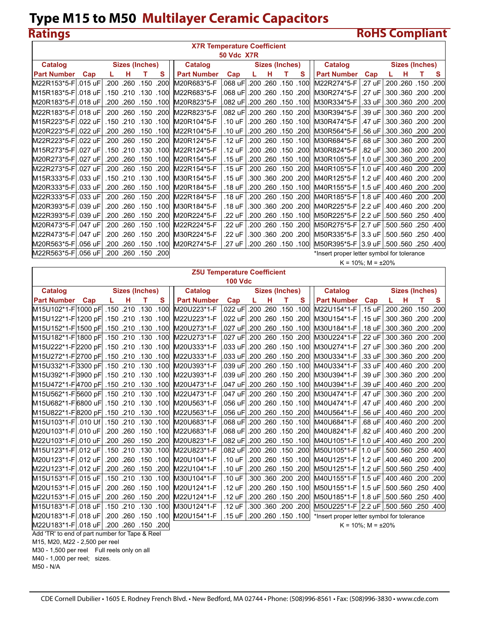$\overline{\phantom{a}}$ 

## **Ratings RoHS Compliant**

|                     | <b>X7R Temperature Coefficient</b><br><b>50 Vdc X7R</b> |      |          |                       |                      |                                |          |  |   |                     |                      |                                            |                       |  |   |                    |          |
|---------------------|---------------------------------------------------------|------|----------|-----------------------|----------------------|--------------------------------|----------|--|---|---------------------|----------------------|--------------------------------------------|-----------------------|--|---|--------------------|----------|
|                     |                                                         |      |          |                       |                      |                                |          |  |   |                     |                      |                                            |                       |  |   |                    |          |
| Catalog             |                                                         |      |          | <b>Sizes (Inches)</b> |                      | Catalog                        |          |  |   | Sizes (Inches)      |                      | Catalog                                    |                       |  |   | Sizes (Inches)     |          |
| <b>Part Number</b>  | Cap                                                     |      | н        | т                     | s                    | <b>Part Number</b>             | Cap      |  | н | т                   | S                    | <b>Part Number</b>                         | Cap                   |  | н | т                  | <b>S</b> |
| M22R153*5-Fl.015 uF |                                                         | .200 | .260     | .150                  | .200                 | M20R683*5-F                    | .068 uFl |  |   |                     | .200 .260 .150 .100  | M22R274*5-F                                | .27 uF                |  |   | .200.260.150       | .200     |
| M15R183*5-F .018 uF |                                                         |      |          |                       | .100 .130 .130 .100  | M22R683*5-F                    | .068 uFl |  |   |                     | .200. 150. 200. 200. | M30R274*5-F                                | .27 uF                |  |   | .300.360.200.200   |          |
| M20R183*5-F .018 uF |                                                         |      |          |                       | .200. 150. 260. 200. | M20R823*5-F                    | .082 uF  |  |   |                     | .200 .260 .150 .100  | M30R334*5-F                                | .33 uF                |  |   | .300.360.200.200   |          |
| M22R183*5-Fl.018 uF |                                                         |      |          | .200.260.150          | .200                 | M22R823*5-F                    | .082 uFl |  |   |                     | 200. 150. 260. 200.  | M30R394*5-F                                | .39 uF                |  |   | .300.360.200.200   |          |
| M15R223*5-Fl.022 uF |                                                         |      |          |                       | .100, 130, 210, 150. | M20R104*5-F                    | .10 uF   |  |   |                     | .200 .260 .150 .100  | M30R474*5-F                                | .47 uF                |  |   | .300.360.200.200   |          |
| M20R223*5-F .022 uF |                                                         |      |          |                       | .200. 150. 260. 200. | M22R104*5-F                    | .10 uF   |  |   |                     | .200. 150. 200. 200. | M30R564*5-F                                | .56 uF                |  |   | .300.360.200.200   |          |
| M22R223*5-F .022 uF |                                                         |      |          | .200.260.150          | .200                 | M20R124*5-F                    | .12 uF   |  |   | .200 .260 .150 .100 |                      | M30R684*5-F                                | .68 uF                |  |   | .300.360 .200 .200 |          |
| M15R273*5-Fl.027 uF |                                                         |      |          |                       | .100 .130 .100       | M22R124*5-F                    | .12 uF   |  |   |                     | 200. 150. 260. 200.  | M30R824*5-F                                | .82 uF                |  |   | .300 200. 360 300. |          |
| M20R273*5-F .027 uF |                                                         |      |          |                       |                      | .200.260 .150 .100 M20R154*5-F | .15 uF   |  |   |                     | .200 .260 .150 .100  | M30R105*5-F                                | $1.0 \text{ uF}$      |  |   | .300.360.200.200   |          |
| M22R273*5-Fl.027 uF |                                                         |      |          | .200.260.150          | .200                 | M22R154*5-F                    | .15 uF   |  |   |                     | .200 .260 .150 .200. | M40R105*5-F                                | $1.0 \text{ uF}$      |  |   | .400.460.200.200   |          |
| M15R333*5-F .033 uF |                                                         |      |          |                       | .100 .130 .100       | M30R154*5-F                    | .15 uF   |  |   |                     | .300 .360 .200 .200  | M40R125*5-F   1.2 uF                       |                       |  |   | .400.460.200.200   |          |
| M20R333*5-F .033 uF |                                                         |      |          |                       | .200. 150. 260. 200. | M20R184*5-F                    | .18 uF   |  |   |                     | .200 .260 .150 .100  | M40R155*5-F   1.5 uF                       |                       |  |   | .400.460.200.200   |          |
| M22R333*5-F         | .033 uF                                                 |      | .200.260 | .150                  | .200                 | M22R184*5-F                    | .18 uF   |  |   |                     | 200. 150. 260. 200.  | M40R185*5-F                                | 1.8 uF                |  |   | .400 .460 .200     | .200     |
| M20R393*5-F .039 uF |                                                         | .200 |          |                       | .260, 150, 260       | M30R184*5-F                    | .18 uF   |  |   |                     | .300 .360 .200 .200  | M40R225*5-F 2.2 uF                         |                       |  |   | .400.460.200.200   |          |
| M22R393*5-F .039 uF |                                                         |      |          | .200.260.150          | .200                 | M20R224*5-F                    | .22 uF   |  |   |                     | 100. 150. 260. 200.  | M50R225*5-F 2.2 uF                         |                       |  |   | .500.560.250.400   |          |
| M20R473*5-Fl.047 uF |                                                         |      |          | .200 .260 .150        | .100                 | M22R224*5-F                    | .22 uF   |  |   | .200 .260 .150 .200 |                      | M50R275*5-F 2.7 uF                         |                       |  |   | .500.560.250.400   |          |
| M22R473*5-Fl        | .047 uF                                                 |      |          | .200 .260 .150        | .200                 | M30R224*5-F                    | .22 uF   |  |   |                     | 200. 200. 360. 300.  | M50R335*5-F 3.3 uF                         |                       |  |   | .500.560.250.400   |          |
| M20R563*5-F .056 uF |                                                         |      |          |                       |                      | .200.260.150.100 M20R274*5-F   | .27 uF   |  |   |                     | .200 .260 .150 .100  | M50R395*5-F 3.9 uF                         |                       |  |   | .500.560.250.400   |          |
| M22R563*5-F .056 uF |                                                         |      |          | .200.260.150          | .200                 |                                |          |  |   |                     |                      | *Insert proper letter symbol for tolerance |                       |  |   |                    |          |
|                     |                                                         |      |          |                       |                      |                                |          |  |   |                     |                      |                                            | $K = 10\%$ ; M = ±20% |  |   |                    |          |

|                                                  | <b>Z5U Temperature Coefficient</b> |   |   |                       |                      |                    |                               |  |   |                      |   |                                            |                       |  |   |                       |   |
|--------------------------------------------------|------------------------------------|---|---|-----------------------|----------------------|--------------------|-------------------------------|--|---|----------------------|---|--------------------------------------------|-----------------------|--|---|-----------------------|---|
|                                                  |                                    |   |   |                       |                      |                    | <b>100 Vdc</b>                |  |   |                      |   |                                            |                       |  |   |                       |   |
| <b>Catalog</b>                                   |                                    |   |   | <b>Sizes (Inches)</b> |                      | <b>Catalog</b>     |                               |  |   | Sizes (Inches)       |   | <b>Catalog</b>                             |                       |  |   | <b>Sizes (Inches)</b> |   |
| <b>Part Number</b>                               | Cap                                | L | н | т                     | S                    | <b>Part Number</b> | Cap                           |  | н |                      | S | <b>Part Number</b>                         | Cap                   |  | н |                       | S |
| 100. 130. 210. 210. 150 M15U102*1-F 1000 pF      |                                    |   |   |                       |                      | M20U223*1-F        | .022 uF                       |  |   | .200.051.00          |   | M22U154*1-F                                | .15 uF                |  |   | .200 .260 .150 .200   |   |
| 100. 130. 210. 210. 150. M15U122*1-F 1200 pF     |                                    |   |   |                       |                      | M22U223*1-F        | .022 uFl                      |  |   | .200. 150. 200. 200  |   | M30U154*1-F                                | .15 uF                |  |   | .300.360.200.200      |   |
| 100. 130. 210. 210. 150. M15U152*1-F 1500 pF     |                                    |   |   |                       |                      | M20U273*1-F        | .027 uF                       |  |   | .200 .260 .150 .100  |   | M30U184*1-F                                | .18 uF                |  |   | .300.360.200.200      |   |
| 100. 130. 210. 210. 150. 150 M15U182*1-F 1800 pF |                                    |   |   |                       |                      | M22U273*1-F        | .027 uF                       |  |   | .200. 150. 260. 200  |   | M30U224*1-F                                | .22 uF                |  |   | .300.360.200.200      |   |
| 100. 130. 210. 210. 150. M15U222*1-F 2200 pF     |                                    |   |   |                       |                      | M20U333*1-F        | .033 uFl                      |  |   | .200. 150. 260. 200. |   | M30U274*1-F                                | .27 uF                |  |   | .300 .360 .200 .200   |   |
| [100. 130. 210. 150. 150. M15U272*1-F 2700 pF    |                                    |   |   |                       |                      | M22U333*1-F        | 200. 150. 260. 260. 033 uF .  |  |   |                      |   | M30U334*1-F                                | .33 uF                |  |   | .300.360.200.200      |   |
| 100. 130. 210. 210. 150. M15U332*1-F 3300 pF     |                                    |   |   |                       |                      | M20U393*1-F        | .039 uFl                      |  |   | .200, 150, 260. 200. |   | M40U334*1-F                                | .33 uF                |  |   | .400.460.200.200      |   |
| 100. 130. 210. 210. 150. M15U392*1-F 3900 pF     |                                    |   |   |                       |                      | M22U393*1-F        | .039 uFl                      |  |   | .200, 150, 260. 200. |   | M30U394*1-F                                | .39 uF                |  |   | .300 .360 .200 .200   |   |
| M15U472*1-F4700 pF .150 .210 .130 .00            |                                    |   |   |                       |                      | M20U473*1-F        | ∣100. 150. 260. 260. PuFl.    |  |   |                      |   | M40U394*1-F                                | .39 uF                |  |   | .400.460.200.200      |   |
| 100. 130. 210. 210. 150. M15U562*1-F 5600 pF     |                                    |   |   |                       |                      | M22U473*1-F        | .047 uF                       |  |   | .200, 150, 260. 200  |   | M30U474*1-F                                | .47 uF                |  |   | .300.360.200.200      |   |
| 100. 130. 210. 210. 150. M15U682*1-F 6800 uF     |                                    |   |   |                       |                      | M20U563*1-F        | .056 uFl                      |  |   | .200 .260 .150 .100  |   | M40U474*1-F                                | .47 uF                |  |   | .400.460.200.200      |   |
| M15U822*1-F8200 pF .150 .210 .130 .00            |                                    |   |   |                       |                      | M22U563*1-F        | 200. 150. 260. 260. 056 uF .  |  |   |                      |   | M40U564*1-F                                | .56 uF                |  |   | .400.460.200.200      |   |
| 100. 130. 210. 210. 010 Uf  150. M15U103*1-F     |                                    |   |   |                       |                      | M20U683*1-F        | .068 uF                       |  |   | .200, 150, 260. 200. |   | M40U684*1-F                                | .68 uF                |  |   | .400 .460 .200 .200   |   |
| M20U103*1-F .010 uF                              |                                    |   |   |                       | .200, 150, 260, 200. | M22U683*1-F        | .068 uFl                      |  |   | .200, 150, 260. 200. |   | M40U824*1-F                                | .82 uF                |  |   | .400.460.200.200      |   |
| M22U103*1-Fl.010 uFl                             |                                    |   |   |                       | .200. 150. 260. 200. | M20U823*1-F        | 100l. 150. 260. 260. PH. 200. |  |   |                      |   | M40U105*1-F                                | $1.0 \text{ uF}$      |  |   | .400 .460 .200 .200   |   |
| M15U123*1-FI                                     | .012 uFl                           |   |   | .150.210.130          | .100                 | M22U823*1-F        | .082 uF                       |  |   | .200, 150, 260. 200. |   | M50U105*1-F                                | $1.0 \text{ uF}$      |  |   | .500.560 .250 .400    |   |
| M20U123*1-Fl.012 uFl                             |                                    |   |   |                       | .200, 150, 260. 200. | M20U104*1-F        | .10 uF                        |  |   | .200, 150, 260. 200. |   | M40U125*1-F   1.2 uF                       |                       |  |   | .400.460.200.200      |   |
| M22U123*1-F .012 uF                              |                                    |   |   |                       | .200. 150. 260. 200. | M22U104*1-F        | .10 uF                        |  |   | .200. 150. 260. 200. |   | M50U125*1-F   1.2 uF                       |                       |  |   | .500.560.250.400      |   |
| M15U153*1-Fl                                     | .015 uF                            |   |   | .100 .130 .150 .150   |                      | M30U104*1-F        | .10 uF                        |  |   | .300.360.200.200     |   | M40U155*1-F   1.5 uF                       |                       |  |   | .400.460.200.200      |   |
| M20U153*1-Fl.015 uFl                             |                                    |   |   | .200, 150, 260. 200.  |                      | M20U124*1-F        | .12 uF                        |  |   | 100. 150. 260. 200.  |   | M50U155*1-F   1.5 uF                       |                       |  |   | .500.560 .250 .400    |   |
| M22U153*1-FI                                     | .015 uF                            |   |   |                       | .200. 150. 200. 200. | M22U124*1-F        | .12 uF                        |  |   | .200. 150. 200. 200. |   | M50U185*1-F   1.8 uF                       |                       |  |   | .500.560.250.400      |   |
| M15U183*1-F                                      | $.018$ uF                          |   |   | .100 .130 .150 .150   |                      | M30U124*1-F        | .12 uF                        |  |   | .300 .360 .200 .200  |   | M50U225*1-F 2.2 uF                         |                       |  |   | .500.560.250.400      |   |
| M20U183*1-FI                                     | ∣.018 uFl                          |   |   |                       | .200, 150, 260, 200. | M20U154*1-F        | .15 uF                        |  |   | ا100. 150. 260. 200. |   | *Insert proper letter symbol for tolerance |                       |  |   |                       |   |
| M22U183*1-F .018 uF                              |                                    |   |   | .200. 150. 260. 200.  |                      |                    |                               |  |   |                      |   |                                            | $K = 10\%$ ; M = ±20% |  |   |                       |   |

Add 'TR' to end of part number for Tape & Reel

M15, M20, M22 - 2,500 per reel

M30 - 1,500 per reel Full reels only on all

M40 - 1,000 per reel; sizes.

M50 - N/A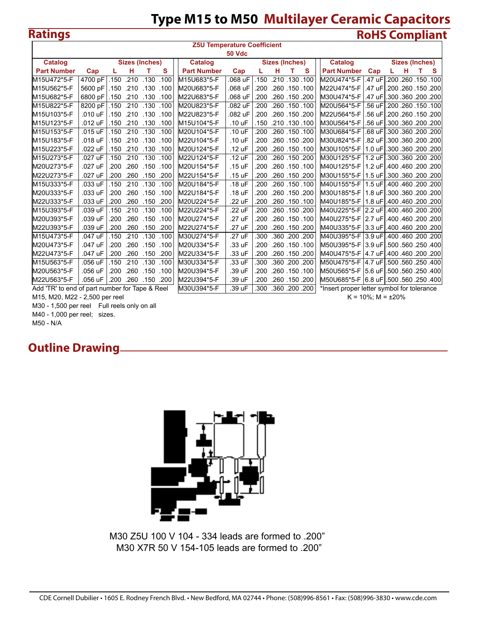## **Type M15 to M50 Multilayer Ceramic Capacitors Ratings RoHS Compliant**

|                                                | <b>Z5U Temperature Coefficient</b><br><b>50 Vdc</b>                                                                                                        |              |      |                      |      |                    |         |      |                     |                 |   |                                             |        |                     |                      |  |
|------------------------------------------------|------------------------------------------------------------------------------------------------------------------------------------------------------------|--------------|------|----------------------|------|--------------------|---------|------|---------------------|-----------------|---|---------------------------------------------|--------|---------------------|----------------------|--|
|                                                | Catalog<br><b>Sizes (Inches)</b><br><b>Catalog</b><br><b>Catalog</b><br><b>Sizes (Inches)</b><br><b>Sizes (Inches)</b><br>н<br>т<br>т<br>L<br>т<br>S.<br>L |              |      |                      |      |                    |         |      |                     |                 |   |                                             |        |                     |                      |  |
|                                                |                                                                                                                                                            |              |      |                      |      |                    |         |      |                     |                 |   |                                             |        |                     |                      |  |
| <b>Part Number</b>                             | Cap                                                                                                                                                        |              |      |                      | s    | <b>Part Number</b> | Cap     |      | н                   |                 | s | <b>Part Number</b>                          | Cap    |                     | н                    |  |
| M15U472*5-F                                    | 4700 pF                                                                                                                                                    | .150         | .210 | .130                 | .100 | M15U683*5-F        | .068 uF | .150 |                     | .210, 130, 100  |   | M20U474*5-F                                 | .47 uF |                     | .200.260.150.100     |  |
| M15U562*5-F                                    | 5600 pF                                                                                                                                                    |              |      | .100 130. 210 150. 1 |      | M20U683*5-F        | .068 uF | .200 |                     | .260, 150, 260  |   | M22U474*5-F                                 | .47 uF |                     | .200, 150, 200. 200  |  |
| M15U682*5-F                                    | 6800 pF                                                                                                                                                    |              |      | .150 .210 .130 .100  |      | M22U683*5-F        | .068 uF | .200 |                     | .260 .150 .200  |   | M30U474*5-F                                 | .47 uF |                     | .300.360.200.200     |  |
| M15U822*5-F                                    | 8200 pF                                                                                                                                                    | $\vert$ .150 |      | .210 .130 .100       |      | M20U823*5-F        | .082 uF | .200 |                     | .260, 150, 260  |   | M20U564*5-F                                 | .56 uF |                     | .200.260.150.100     |  |
| M15U103*5-F                                    | .010 uF                                                                                                                                                    |              |      | .100. 130. 210. 150. |      | M22U823*5-F        | .082 uF | .200 | .260, 150, 200      |                 |   | M22U564*5-F                                 | .56 uF |                     | .200, 150, 200. 200. |  |
| M15U123*5-F                                    | .012 uF                                                                                                                                                    | .150         | .210 | .130.100             |      | M15U104*5-F        | .10 uF  | .150 |                     | .210 .130 .100  |   | M30U564*5-F                                 | .56 uF |                     | .300.360.200.200     |  |
| M15U153*5-F                                    | .015 uF                                                                                                                                                    | .150         | .210 | .130.100             |      | M20U104*5-F        | .10 uF  | .200 |                     | .260, 150, 260  |   | M30U684*5-F                                 | .68 uF |                     | .300 .360 .200 .200  |  |
| M15U183*5-F                                    | .018 uF                                                                                                                                                    |              |      | .150 .210 .130 .100  |      | M22U104*5-F        | .10 uF  |      | .200, 150, 260. 200 |                 |   | M30U824*5-F                                 | .82 uF | .300 .360 .200 .200 |                      |  |
| M15U223*5-F                                    | .022 uF                                                                                                                                                    | .150         |      | .210 .130 .100       |      | M20U124*5-F        | .12 uF  | .200 | .260.150.100        |                 |   | M30U105*5-F   1.0 uF                        |        |                     | .300.360.200.200     |  |
| M15U273*5-F                                    | .027 uF                                                                                                                                                    | .150         | .210 | .130.100             |      | M22U124*5-F        | .12 uF  | .200 |                     | .260, 150, 200  |   | M30U125*5-F  1.2 uF                         |        |                     | .300 .360 .200 .200  |  |
| M20U273*5-F                                    | .027 uF                                                                                                                                                    | .200         | .260 | .150                 | .100 | M20U154*5-F        | .15 uF  | .200 |                     | .260, 150, 260. |   | 200. 200. 460 460. M40U125*5-F I1.2 uFI.400 |        |                     |                      |  |
| M22U273*5-F                                    | .027 uF                                                                                                                                                    | .200         | .260 | .150                 | .200 | M22U154*5-F        | .15 uF  | .200 |                     | .260, 150, 200  |   | M30U155*5-F   1.5 uF                        |        |                     | .300.360.200.200     |  |
| M15U333*5-F                                    | .033 uF                                                                                                                                                    | .150         | .210 | .130.100             |      | M20U184*5-F        | .18 uF  | .200 |                     | .260, 150, 260  |   |                                             |        |                     | .400 .460 .200 .200  |  |
| M20U333*5-F                                    | .033 uF                                                                                                                                                    | .200         | .260 | $.150$ $.100$        |      | M22U184*5-F        | .18 uF  | .200 |                     | .260, 150, 200  |   |                                             |        |                     | .300.360.200.200     |  |
| M22U333*5-F                                    | .033 uF                                                                                                                                                    | .200         | .260 | .150                 | .200 | M20U224*5-F        | .22 uF  | 200  |                     | .260.150.100    |   | 200. 200. 460 460. M40U185*5-F I1.8 uFI.400 |        |                     |                      |  |
| M15U393*5-F                                    | .039 uF                                                                                                                                                    | .150         | .210 | .130                 | .100 | M22U224*5-F        | .22 uF  | .200 |                     | .260.150.200    |   | M40U225*5-F 12.2 uFl                        |        |                     | .400 .460 .200 .200  |  |
| M20U393*5-F                                    | .039 uF                                                                                                                                                    | .200         | .260 | .150                 | .100 | M20U274*5-F        | .27 uF  | .200 |                     | .260, 150, 260. |   | 200. 200. 460 460. M40U275*5-F I2.7 uFI.400 |        |                     |                      |  |
| M22U393*5-F                                    | .039 uF                                                                                                                                                    | .200         |      | .260 .150 .200       |      | M22U274*5-F        | .27 uF  | .200 | .260 .150 .200      |                 |   | lM40U335*5-F  3.3 uF                        |        | .400 .460 .200 .200 |                      |  |
| M15U473*5-F                                    | .047 uF                                                                                                                                                    | .150         | .210 | .130                 | .100 | M30U274*5-F        | .27 uF  | .300 |                     | .360 .200 .200  |   | lM40U395*5-F  3.9 uF                        |        |                     | .400.460.200.200     |  |
| M20U473*5-F                                    | .047 uF                                                                                                                                                    | .200         | .260 | .150                 | .100 | M20U334*5-F        | .33 uF  | .200 |                     | .260 .150 .100  |   | lM50U395*5-F  3.9 uF                        |        |                     | .500 .560 .250 .400  |  |
| M22U473*5-F                                    | .047 uF                                                                                                                                                    | .200         | .260 | .150.200             |      | M22U334*5-F        | .33 uF  | .200 |                     | .260 .150 .200  |   | 200. 200. 460 460. M40U475*5-F  4.7 uFl.400 |        |                     |                      |  |
| M15U563*5-F                                    | .056 uF                                                                                                                                                    | .150         | .210 | .130                 | .100 | M30U334*5-F        | .33 uF  | 300  |                     | .360 .200 .200  |   | M50U475*5-F  4.7 uF                         |        |                     | .500 .560 .250 .400  |  |
| M20U563*5-F                                    | .056 uF                                                                                                                                                    | .200         | .260 | .150.100             |      | M20U394*5-F        | .39 uF  | 200  |                     | .260, 150, 260  |   | M50U565*5-F 5.6 uF                          |        |                     | .500 .560 .250 .400  |  |
| M22U563*5-F                                    | .056 uF                                                                                                                                                    | .200         |      | .260 .150 .200       |      | M22U394*5-F        | .39 uF  | .200 |                     | .260 .150 .200  |   | M50U685*5-F 16.8 uF1.500 .560 .250 .400     |        |                     |                      |  |
| Add 'TR' to end of part number for Tape & Reel |                                                                                                                                                            |              |      |                      |      | M30U394*5-F        | .39 uF  | 300  |                     | .360 .200 .200  |   | *Insert proper letter symbol for tolerance  |        |                     |                      |  |

M15, M20, M22 - 2,500 per reel **Alternative Controller Controller Controller Controller Controller Controller Controller Controller Controller Controller Controller Controller Controller Controller Controller Controller Co** 

M30 - 1,500 per reel Full reels only on all

M40 - 1,000 per reel; sizes.

M50 - N/A

## **Outline Drawing**





M30 Z5U 100 V 104 - 334 leads are formed to .200" M30 X7R 50 V 154-105 leads are formed to .200"